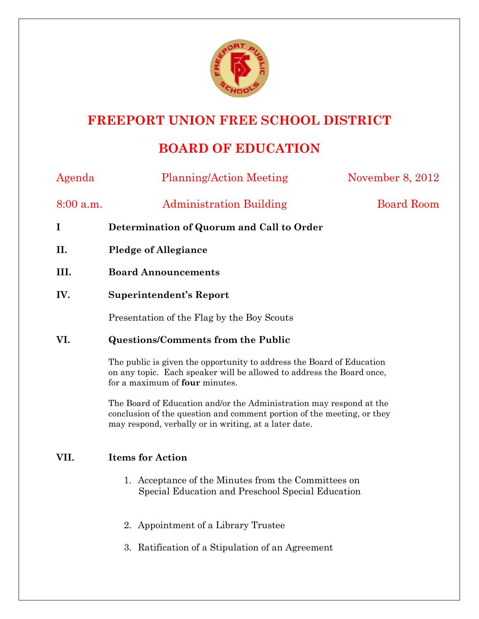

# **FREEPORT UNION FREE SCHOOL DISTRICT**

## **BOARD OF EDUCATION**

| Agenda      | <b>Planning/Action Meeting</b>                                                                                                                                                                                                                                                                                                                                                                                                          | November 8, 2012  |
|-------------|-----------------------------------------------------------------------------------------------------------------------------------------------------------------------------------------------------------------------------------------------------------------------------------------------------------------------------------------------------------------------------------------------------------------------------------------|-------------------|
| $8:00$ a.m. | <b>Administration Building</b>                                                                                                                                                                                                                                                                                                                                                                                                          | <b>Board Room</b> |
| I           | Determination of Quorum and Call to Order                                                                                                                                                                                                                                                                                                                                                                                               |                   |
| II.         | <b>Pledge of Allegiance</b>                                                                                                                                                                                                                                                                                                                                                                                                             |                   |
| III.        | <b>Board Announcements</b>                                                                                                                                                                                                                                                                                                                                                                                                              |                   |
| IV.         | <b>Superintendent's Report</b>                                                                                                                                                                                                                                                                                                                                                                                                          |                   |
|             | Presentation of the Flag by the Boy Scouts                                                                                                                                                                                                                                                                                                                                                                                              |                   |
| VI.         | <b>Questions/Comments from the Public</b><br>The public is given the opportunity to address the Board of Education<br>on any topic. Each speaker will be allowed to address the Board once,<br>for a maximum of four minutes.<br>The Board of Education and/or the Administration may respond at the<br>conclusion of the question and comment portion of the meeting, or they<br>may respond, verbally or in writing, at a later date. |                   |
|             |                                                                                                                                                                                                                                                                                                                                                                                                                                         |                   |
|             |                                                                                                                                                                                                                                                                                                                                                                                                                                         |                   |
| VII.        | <b>Items for Action</b>                                                                                                                                                                                                                                                                                                                                                                                                                 |                   |
|             | 1. Acceptance of the Minutes from the Committees on<br>Special Education and Preschool Special Education                                                                                                                                                                                                                                                                                                                                |                   |
|             | 2. Appointment of a Library Trustee                                                                                                                                                                                                                                                                                                                                                                                                     |                   |
|             | 3. Ratification of a Stipulation of an Agreement                                                                                                                                                                                                                                                                                                                                                                                        |                   |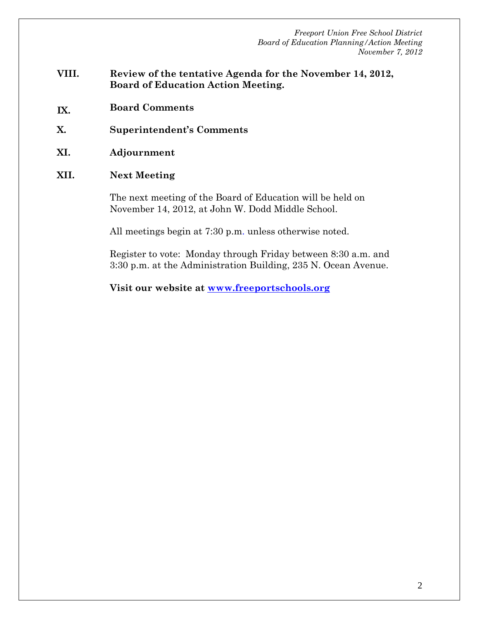- **VIII. Review of the tentative Agenda for the November 14, 2012, Board of Education Action Meeting.**
- **IX. Board Comments**
- **X. Superintendent's Comments**
- **XI. Adjournment**
- **XII. Next Meeting**

The next meeting of the Board of Education will be held on November 14, 2012, at John W. Dodd Middle School.

All meetings begin at 7:30 p.m. unless otherwise noted.

Register to vote: Monday through Friday between 8:30 a.m. and 3:30 p.m. at the Administration Building, 235 N. Ocean Avenue.

**Visit our website at www.freeportschools.org**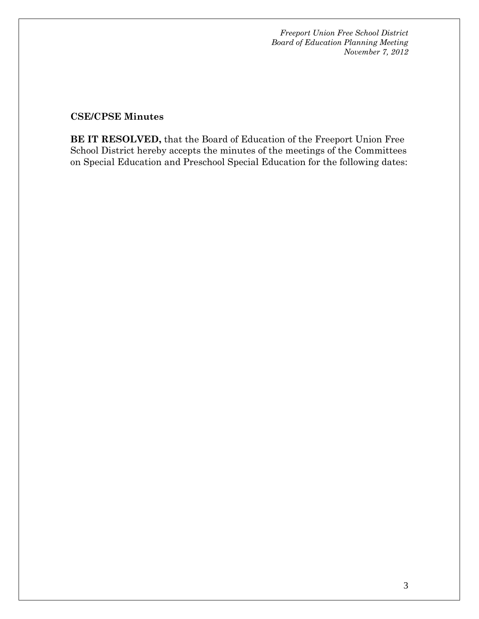### **CSE/CPSE Minutes**

**BE IT RESOLVED,** that the Board of Education of the Freeport Union Free School District hereby accepts the minutes of the meetings of the Committees on Special Education and Preschool Special Education for the following dates: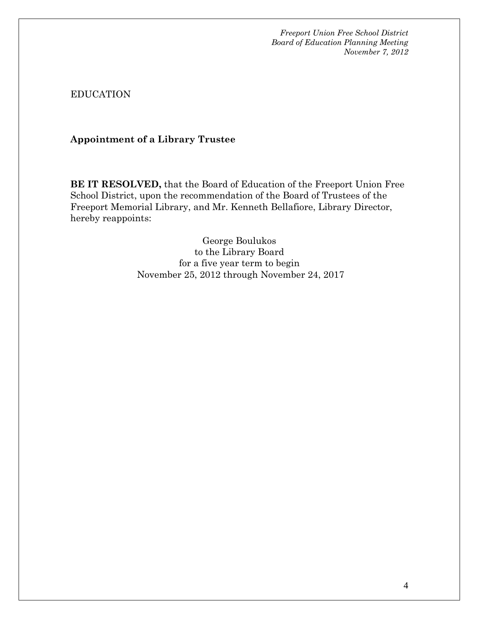EDUCATION

**Appointment of a Library Trustee** 

**BE IT RESOLVED,** that the Board of Education of the Freeport Union Free School District, upon the recommendation of the Board of Trustees of the Freeport Memorial Library, and Mr. Kenneth Bellafiore, Library Director, hereby reappoints:

> George Boulukos to the Library Board for a five year term to begin November 25, 2012 through November 24, 2017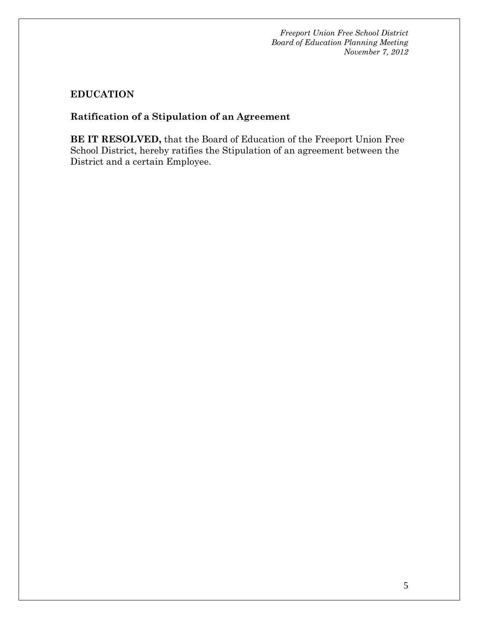## **EDUCATION**

## **Ratification of a Stipulation of an Agreement**

**BE IT RESOLVED,** that the Board of Education of the Freeport Union Free School District, hereby ratifies the Stipulation of an agreement between the District and a certain Employee.